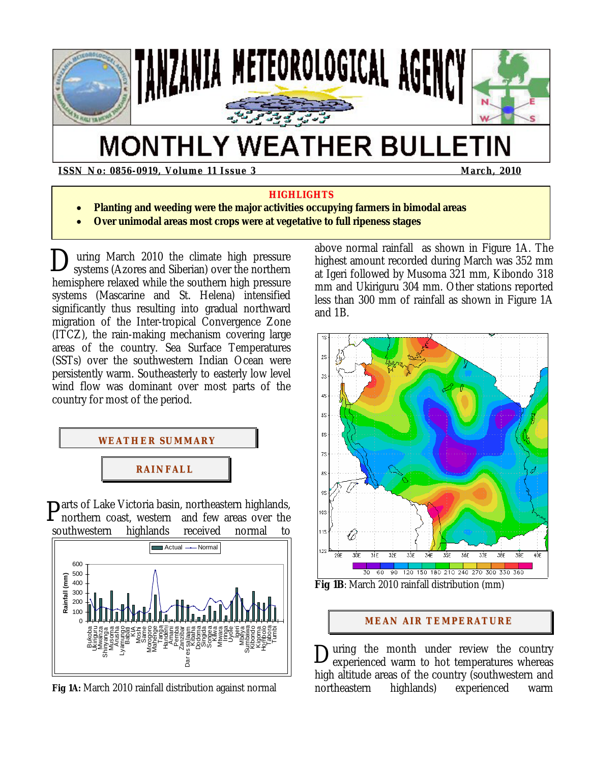

# **MONTHLY WEATHER BULLETIN**

**ISSN No: 0856-0919, Volume 11 Issue 3 March, 2010 March, 2010** 

#### **HIGHLIGHTS**

- **Planting and weeding were the major activities occupying farmers in bimodal areas**
- **Over unimodal areas most crops were at vegetative to full ripeness stages**

 uring March 2010 the climate high pressure During March 2010 the climate high pressure<br>systems (Azores and Siberian) over the northern hemisphere relaxed while the southern high pressure systems (Mascarine and St. Helena) intensified significantly thus resulting into gradual northward migration of the Inter-tropical Convergence Zone (ITCZ), the rain-making mechanism covering large areas of the country. Sea Surface Temperatures (SSTs) over the southwestern Indian Ocean were persistently warm. Southeasterly to easterly low level wind flow was dominant over most parts of the country for most of the period.



Parts of Lake Victoria basin, northeastern highlands, northern coast, western and few areas over the northern coast, western and few areas over the southwestern highlands received normal to



**Fig 1A:** March 2010 rainfall distribution against normal

above normal rainfall as shown in Figure 1A. The highest amount recorded during March was 352 mm at Igeri followed by Musoma 321 mm, Kibondo 318 mm and Ukiriguru 304 mm. Other stations reported less than 300 mm of rainfall as shown in Figure 1A and 1B.



**Fig 1B**: March 2010 rainfall distribution (mm)

## **MEAN AIR TEMPERATURE**

uring the month under review the country experienced warm to hot temperatures whereas high altitude areas of the country (southwestern and northeastern highlands) experienced warm D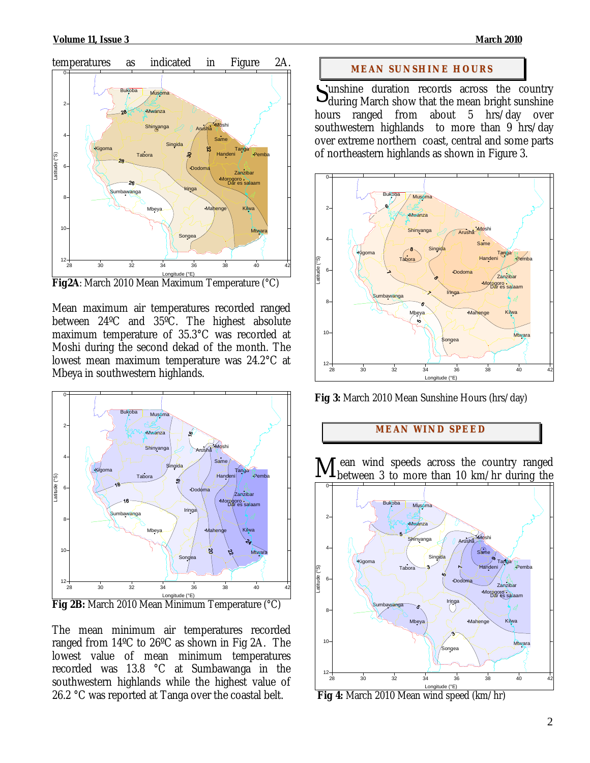

**Fig2A**: March 2010 Mean Maximum Temperature (°C)

Mean maximum air temperatures recorded ranged between 24ºC and 35ºC. The highest absolute maximum temperature of 35.3°C was recorded at Moshi during the second dekad of the month. The lowest mean maximum temperature was 24.2°C at Mbeya in southwestern highlands.



Longitude (°E) **Fig 2B:** March 2010 Mean Minimum Temperature (°C)

The mean minimum air temperatures recorded ranged from 14ºC to 26ºC as shown in Fig 2A. The lowest value of mean minimum temperatures recorded was 13.8 °C at Sumbawanga in the southwestern highlands while the highest value of 26.2 °C was reported at Tanga over the coastal belt.

#### **MEAN SUNSHINE HOURS**

unshine duration records across the country Sunshine duration records across the country<br>during March show that the mean bright sunshine hours ranged from about 5 hrs/day over southwestern highlands to more than 9 hrs/day over extreme northern coast, central and some parts of northeastern highlands as shown in Figure 3.



**Fig 3:** March 2010 Mean Sunshine Hours (hrs/day)

## **MEAN WI ND SPEED**

 ean wind speeds across the country ranged between 3 to more than 10 km/hr during the M



 **Fig 4:** March 2010 Mean wind speed (km/hr)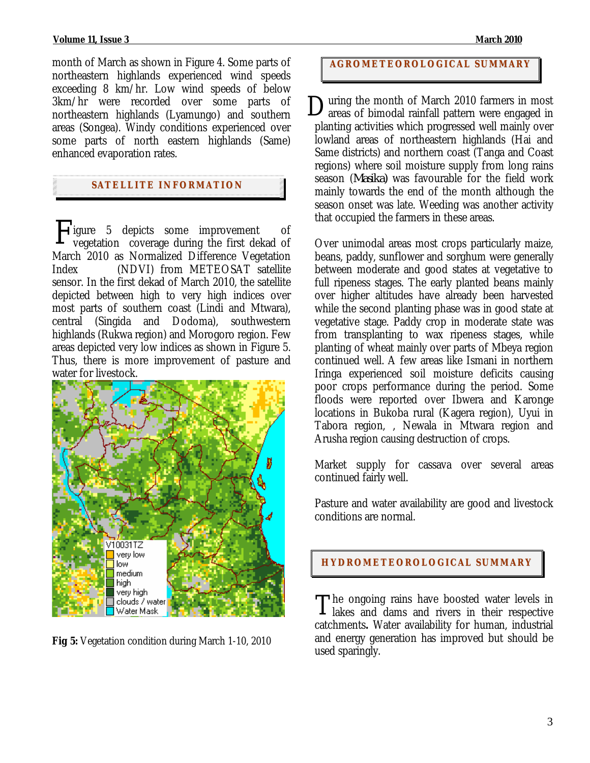month of March as shown in Figure 4. Some parts of northeastern highlands experienced wind speeds exceeding 8 km/hr. Low wind speeds of below 3km/hr were recorded over some parts of northeastern highlands (Lyamungo) and southern areas (Songea). Windy conditions experienced over some parts of north eastern highlands (Same) enhanced evaporation rates.

## **SATELLITE I NFORMATION**

Figure 5 depicts some improvement of<br>vegetation coverage during the first dekad of vegetation coverage during the first dekad of March 2010 as Normalized Difference Vegetation Index (NDVI) from METEOSAT satellite sensor. In the first dekad of March 2010, the satellite depicted between high to very high indices over most parts of southern coast (Lindi and Mtwara), central (Singida and Dodoma), southwestern highlands (Rukwa region) and Morogoro region. Few areas depicted very low indices as shown in Figure 5. Thus, there is more improvement of pasture and water for livestock.



**Fig 5:** Vegetation condition during March 1-10, 2010

### **AGROMETEOROLOGICAL SUMMARY**

uring the month of March 2010 farmers in most areas of bimodal rainfall pattern were engaged in planting activities which progressed well mainly over lowland areas of northeastern highlands (Hai and Same districts) and northern coast (Tanga and Coast regions) where soil moisture supply from long rains season (*Masika)* was favourable for the field work mainly towards the end of the month although the season onset was late. Weeding was another activity that occupied the farmers in these areas. D

Over unimodal areas most crops particularly maize, beans, paddy, sunflower and sorghum were generally between moderate and good states at vegetative to full ripeness stages. The early planted beans mainly over higher altitudes have already been harvested while the second planting phase was in good state at vegetative stage. Paddy crop in moderate state was from transplanting to wax ripeness stages, while planting of wheat mainly over parts of Mbeya region continued well. A few areas like Ismani in northern Iringa experienced soil moisture deficits causing poor crops performance during the period. Some floods were reported over Ibwera and Karonge locations in Bukoba rural (Kagera region), Uyui in Tabora region, , Newala in Mtwara region and Arusha region causing destruction of crops.

Market supply for cassava over several areas continued fairly well.

Pasture and water availability are good and livestock conditions are normal.

#### **HYDROMETEOROLOGICAL SUMMARY**

The ongoing rains have boosted water levels in The ongoing rains have boosted water levels in lakes and dams and rivers in their respective catchments**.** Water availability for human, industrial and energy generation has improved but should be used sparingly.